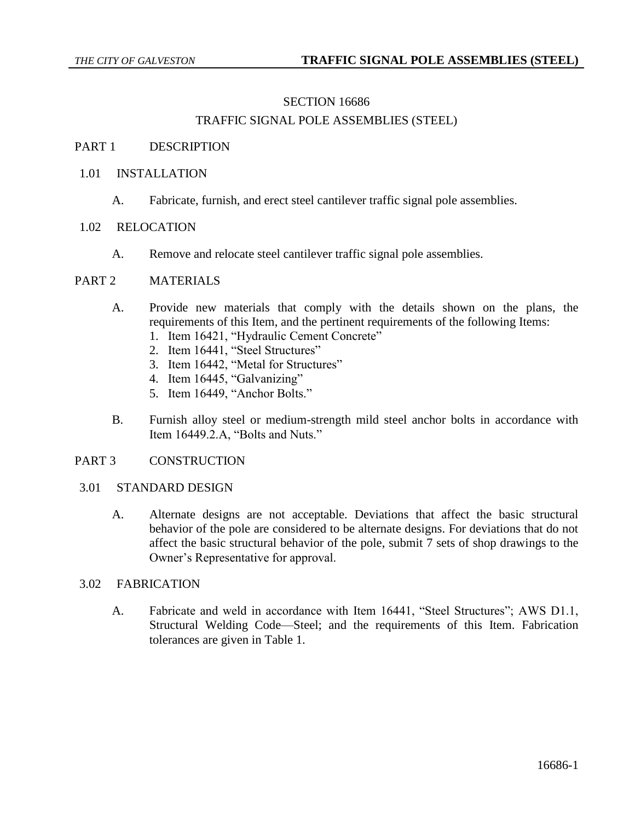## SECTION 16686

# TRAFFIC SIGNAL POLE ASSEMBLIES (STEEL)

#### PART 1 DESCRIPTION

#### 1.01 INSTALLATION

A. Fabricate, furnish, and erect steel cantilever traffic signal pole assemblies.

#### 1.02 RELOCATION

A. Remove and relocate steel cantilever traffic signal pole assemblies.

## PART 2 MATERIALS

- A. Provide new materials that comply with the details shown on the plans, the requirements of this Item, and the pertinent requirements of the following Items:
	- 1. Item 16421, "Hydraulic Cement Concrete"
	- 2. Item 16441, "Steel Structures"
	- 3. Item 16442, "Metal for Structures"
	- 4. Item 16445, "Galvanizing"
	- 5. Item 16449, "Anchor Bolts."
- B. Furnish alloy steel or medium-strength mild steel anchor bolts in accordance with Item 16449.2.A, "Bolts and Nuts."

#### PART 3 CONSTRUCTION

#### 3.01 STANDARD DESIGN

A. Alternate designs are not acceptable. Deviations that affect the basic structural behavior of the pole are considered to be alternate designs. For deviations that do not affect the basic structural behavior of the pole, submit 7 sets of shop drawings to the Owner's Representative for approval.

## 3.02 FABRICATION

A. Fabricate and weld in accordance with Item 16441, "Steel Structures"; AWS D1.1, Structural Welding Code—Steel; and the requirements of this Item. Fabrication tolerances are given in Table 1.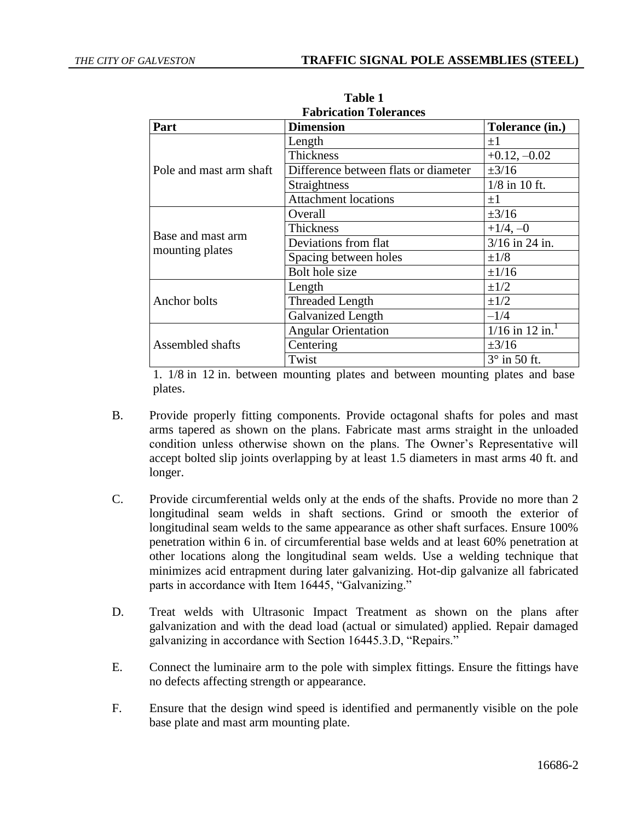| Part                                 | <b>Dimension</b>                     | Tolerance (in.)               |
|--------------------------------------|--------------------------------------|-------------------------------|
| Pole and mast arm shaft              | Length                               | $\pm 1$                       |
|                                      | <b>Thickness</b>                     | $+0.12, -0.02$                |
|                                      | Difference between flats or diameter | $\pm 3/16$                    |
|                                      | Straightness                         | $1/8$ in 10 ft.               |
|                                      | <b>Attachment locations</b>          | $+1$                          |
| Base and mast arm<br>mounting plates | Overall                              | $\pm 3/16$                    |
|                                      | Thickness                            | $+1/4, -0$                    |
|                                      | Deviations from flat                 | $3/16$ in 24 in.              |
|                                      | Spacing between holes                | $\pm 1/8$                     |
|                                      | Bolt hole size                       | $\pm 1/16$                    |
| Anchor bolts                         | Length                               | $\pm 1/2$                     |
|                                      | Threaded Length                      | $\pm 1/2$                     |
|                                      | Galvanized Length                    | $-1/4$                        |
| Assembled shafts                     | <b>Angular Orientation</b>           | $1/16$ in 12 in. <sup>1</sup> |
|                                      | Centering                            | $\pm 3/16$                    |
|                                      | Twist                                | $3^\circ$ in 50 ft.           |

**Table 1 Fabrication Tolerances**

1. 1/8 in 12 in. between mounting plates and between mounting plates and base plates.

- B. Provide properly fitting components. Provide octagonal shafts for poles and mast arms tapered as shown on the plans. Fabricate mast arms straight in the unloaded condition unless otherwise shown on the plans. The Owner's Representative will accept bolted slip joints overlapping by at least 1.5 diameters in mast arms 40 ft. and longer.
- C. Provide circumferential welds only at the ends of the shafts. Provide no more than 2 longitudinal seam welds in shaft sections. Grind or smooth the exterior of longitudinal seam welds to the same appearance as other shaft surfaces. Ensure 100% penetration within 6 in. of circumferential base welds and at least 60% penetration at other locations along the longitudinal seam welds. Use a welding technique that minimizes acid entrapment during later galvanizing. Hot-dip galvanize all fabricated parts in accordance with Item 16445, "Galvanizing."
- D. Treat welds with Ultrasonic Impact Treatment as shown on the plans after galvanization and with the dead load (actual or simulated) applied. Repair damaged galvanizing in accordance with Section 16445.3.D, "Repairs."
- E. Connect the luminaire arm to the pole with simplex fittings. Ensure the fittings have no defects affecting strength or appearance.
- F. Ensure that the design wind speed is identified and permanently visible on the pole base plate and mast arm mounting plate.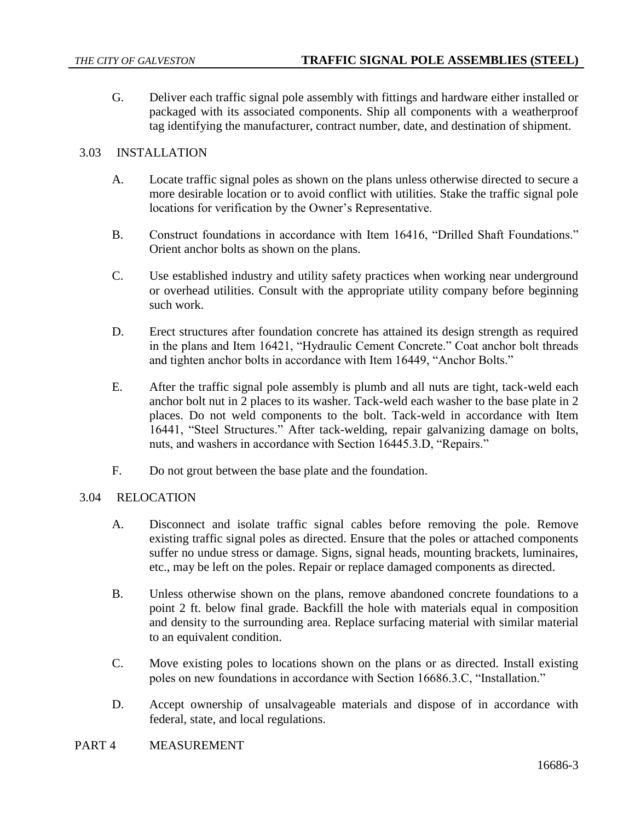G. Deliver each traffic signal pole assembly with fittings and hardware either installed or packaged with its associated components. Ship all components with a weatherproof tag identifying the manufacturer, contract number, date, and destination of shipment.

# 3.03 INSTALLATION

- A. Locate traffic signal poles as shown on the plans unless otherwise directed to secure a more desirable location or to avoid conflict with utilities. Stake the traffic signal pole locations for verification by the Owner's Representative.
- B. Construct foundations in accordance with Item 16416, "Drilled Shaft Foundations." Orient anchor bolts as shown on the plans.
- C. Use established industry and utility safety practices when working near underground or overhead utilities. Consult with the appropriate utility company before beginning such work.
- D. Erect structures after foundation concrete has attained its design strength as required in the plans and Item 16421, "Hydraulic Cement Concrete." Coat anchor bolt threads and tighten anchor bolts in accordance with Item 16449, "Anchor Bolts."
- E. After the traffic signal pole assembly is plumb and all nuts are tight, tack-weld each anchor bolt nut in 2 places to its washer. Tack-weld each washer to the base plate in 2 places. Do not weld components to the bolt. Tack-weld in accordance with Item 16441, "Steel Structures." After tack-welding, repair galvanizing damage on bolts, nuts, and washers in accordance with Section 16445.3.D, "Repairs."
- F. Do not grout between the base plate and the foundation.

## 3.04 RELOCATION

- A. Disconnect and isolate traffic signal cables before removing the pole. Remove existing traffic signal poles as directed. Ensure that the poles or attached components suffer no undue stress or damage. Signs, signal heads, mounting brackets, luminaires, etc., may be left on the poles. Repair or replace damaged components as directed.
- B. Unless otherwise shown on the plans, remove abandoned concrete foundations to a point 2 ft. below final grade. Backfill the hole with materials equal in composition and density to the surrounding area. Replace surfacing material with similar material to an equivalent condition.
- C. Move existing poles to locations shown on the plans or as directed. Install existing poles on new foundations in accordance with Section 16686.3.C, "Installation."
- D. Accept ownership of unsalvageable materials and dispose of in accordance with federal, state, and local regulations.
- PART 4 MEASUREMENT